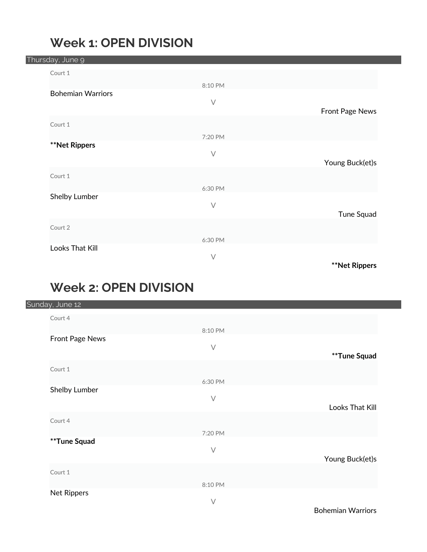#### **Week 1: OPEN DIVISION**

|  | Thursday, June 9         |           |                      |
|--|--------------------------|-----------|----------------------|
|  | Court 1                  |           |                      |
|  |                          | 8:10 PM   |                      |
|  | <b>Bohemian Warriors</b> |           |                      |
|  |                          | $\vee$    | Front Page News      |
|  |                          |           |                      |
|  | Court 1                  |           |                      |
|  | <b>**Net Rippers</b>     | 7:20 PM   |                      |
|  |                          | $\vee$    |                      |
|  |                          |           | Young Buck(et)s      |
|  | Court 1                  |           |                      |
|  |                          | 6:30 PM   |                      |
|  | Shelby Lumber            |           |                      |
|  |                          | $\bigvee$ | Tune Squad           |
|  |                          |           |                      |
|  | Court 2                  |           |                      |
|  | Looks That Kill          | 6:30 PM   |                      |
|  |                          | $\bigvee$ |                      |
|  |                          |           | <b>**Net Rippers</b> |

## **Week 2: OPEN DIVISION**

|  | Sunday, June 12 |           |                 |
|--|-----------------|-----------|-----------------|
|  | Court 4         |           |                 |
|  |                 | 8:10 PM   |                 |
|  | Front Page News | $\bigvee$ |                 |
|  |                 |           | **Tune Squad    |
|  | Court 1         |           |                 |
|  |                 | 6:30 PM   |                 |
|  | Shelby Lumber   | $\vee$    |                 |
|  |                 |           | Looks That Kill |
|  | Court 4         |           |                 |
|  |                 | 7:20 PM   |                 |
|  | **Tune Squad    |           |                 |
|  |                 | $\bigvee$ | Young Buck(et)s |
|  | Court 1         |           |                 |
|  |                 | 8:10 PM   |                 |
|  | Net Rippers     |           |                 |
|  |                 | $\sqrt{}$ |                 |

Bohemian Warriors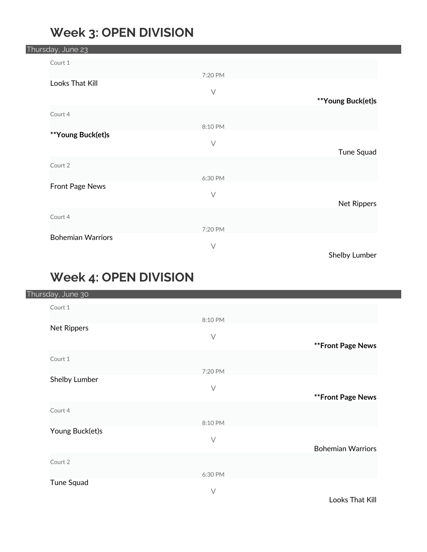## **Week 3: OPEN DIVISION**

| Thursday, June 23 |                          |           |                   |
|-------------------|--------------------------|-----------|-------------------|
| Court 1           |                          |           |                   |
|                   |                          | 7:20 PM   |                   |
|                   | Looks That Kill          |           |                   |
|                   |                          | $\bigvee$ | **Young Buck(et)s |
| Court 4           |                          |           |                   |
|                   |                          |           |                   |
|                   | **Young Buck(et)s        | 8:10 PM   |                   |
|                   |                          | $\vee$    |                   |
|                   |                          |           | Tune Squad        |
| Court 2           |                          |           |                   |
|                   |                          | 6:30 PM   |                   |
|                   | Front Page News          |           |                   |
|                   |                          | $\vee$    | Net Rippers       |
| Court 4           |                          |           |                   |
|                   |                          |           |                   |
|                   | <b>Bohemian Warriors</b> | 7:20 PM   |                   |
|                   |                          | $\vee$    |                   |
|                   |                          |           | Shelby Lumber     |

## **Week 4: OPEN DIVISION**

|  | Thursday, June 30 |         |                          |
|--|-------------------|---------|--------------------------|
|  | Court 1           |         |                          |
|  |                   | 8:10 PM |                          |
|  | Net Rippers       |         |                          |
|  |                   | $\vee$  | ** Front Page News       |
|  | Court 1           |         |                          |
|  |                   | 7:20 PM |                          |
|  | Shelby Lumber     |         |                          |
|  |                   | $\vee$  | ** Front Page News       |
|  | Court 4           |         |                          |
|  |                   | 8:10 PM |                          |
|  | Young Buck(et)s   |         |                          |
|  |                   | $\vee$  | <b>Bohemian Warriors</b> |
|  | Court 2           |         |                          |
|  |                   | 6:30 PM |                          |
|  | Tune Squad        |         |                          |
|  |                   | $\vee$  |                          |

Looks That Kill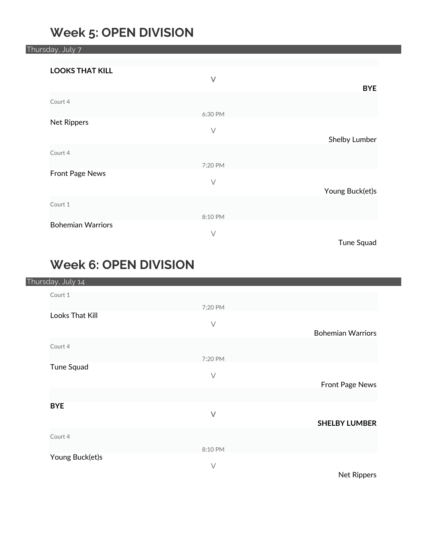#### **Week 5: OPEN DIVISION**

Thursday, July 7 **LOOKS THAT KILL V BYE** Court 4 6:30 PM Net Rippers V Shelby Lumber Court 4 7:20 PM Front Page News V Young Buck(et)s Court 1 8:10 PM Bohemian Warriors V Tune Squad

## **Week 6: OPEN DIVISION**

| Thursday, July 14 |           |                          |
|-------------------|-----------|--------------------------|
| Court 1           |           |                          |
|                   | 7:20 PM   |                          |
| Looks That Kill   |           |                          |
|                   | $\bigvee$ | <b>Bohemian Warriors</b> |
| Court 4           |           |                          |
|                   | 7:20 PM   |                          |
| Tune Squad        |           |                          |
|                   | $\bigvee$ | Front Page News          |
|                   |           |                          |
| <b>BYE</b>        |           |                          |
|                   | $\vee$    | <b>SHELBY LUMBER</b>     |
|                   |           |                          |
| Court 4           |           |                          |
|                   | 8:10 PM   |                          |
| Young Buck(et)s   | $\vee$    |                          |
|                   |           | .                        |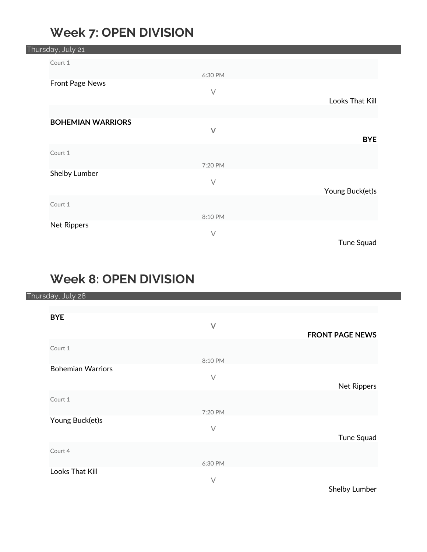## **Week 7: OPEN DIVISION**

|  | Thursday, July 21        |         |                 |
|--|--------------------------|---------|-----------------|
|  | Court 1                  |         |                 |
|  |                          | 6:30 PM |                 |
|  | Front Page News          |         |                 |
|  |                          | $\vee$  | Looks That Kill |
|  |                          |         |                 |
|  | <b>BOHEMIAN WARRIORS</b> |         |                 |
|  |                          | $\vee$  | <b>BYE</b>      |
|  | Court 1                  |         |                 |
|  |                          | 7:20 PM |                 |
|  | Shelby Lumber            |         |                 |
|  |                          | $\vee$  |                 |
|  |                          |         | Young Buck(et)s |
|  | Court 1                  |         |                 |
|  |                          | 8:10 PM |                 |
|  | Net Rippers              | $\vee$  |                 |
|  |                          |         | Tune Squad      |

## **Week 8: OPEN DIVISION**

Thursday, July 28

| <b>BYE</b>               |           |                        |
|--------------------------|-----------|------------------------|
|                          | $\vee$    |                        |
|                          |           | <b>FRONT PAGE NEWS</b> |
| Court 1                  |           |                        |
|                          | 8:10 PM   |                        |
| <b>Bohemian Warriors</b> |           |                        |
|                          | $\bigvee$ |                        |
|                          |           | <b>Net Rippers</b>     |
| Court 1                  |           |                        |
|                          | 7:20 PM   |                        |
| Young Buck(et)s          |           |                        |
|                          | $\vee$    |                        |
|                          |           | Tune Squad             |
| Court 4                  |           |                        |
|                          | 6:30 PM   |                        |
| Looks That Kill          |           |                        |
|                          | $\vee$    |                        |

Shelby Lumber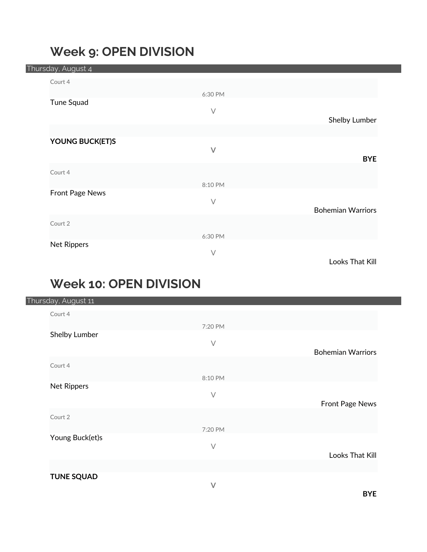## **Week 9: OPEN DIVISION**

|  | Thursday, August 4 |           |                          |
|--|--------------------|-----------|--------------------------|
|  | Court 4            |           |                          |
|  |                    | 6:30 PM   |                          |
|  | Tune Squad         |           |                          |
|  |                    | $\bigvee$ | Shelby Lumber            |
|  |                    |           |                          |
|  | YOUNG BUCK(ET)S    |           |                          |
|  |                    | $\vee$    | <b>BYE</b>               |
|  | Court 4            |           |                          |
|  |                    | 8:10 PM   |                          |
|  | Front Page News    |           |                          |
|  |                    | $\vee$    |                          |
|  |                    |           | <b>Bohemian Warriors</b> |
|  | Court 2            |           |                          |
|  |                    | 6:30 PM   |                          |
|  | Net Rippers        | $\vee$    |                          |
|  |                    |           | Looks That Kill          |

# **Week 10: OPEN DIVISION**

|  | Thursday, August 11 |           |                          |
|--|---------------------|-----------|--------------------------|
|  | Court 4             |           |                          |
|  |                     | 7:20 PM   |                          |
|  | Shelby Lumber       |           |                          |
|  |                     | $\bigvee$ | <b>Bohemian Warriors</b> |
|  |                     |           |                          |
|  | Court 4             |           |                          |
|  |                     | 8:10 PM   |                          |
|  | Net Rippers         | $\bigvee$ |                          |
|  |                     |           | Front Page News          |
|  | Court 2             |           |                          |
|  |                     |           |                          |
|  | Young Buck(et)s     | 7:20 PM   |                          |
|  |                     | $\bigvee$ |                          |
|  |                     |           | Looks That Kill          |
|  |                     |           |                          |
|  | <b>TUNE SQUAD</b>   |           |                          |
|  |                     | $\vee$    |                          |